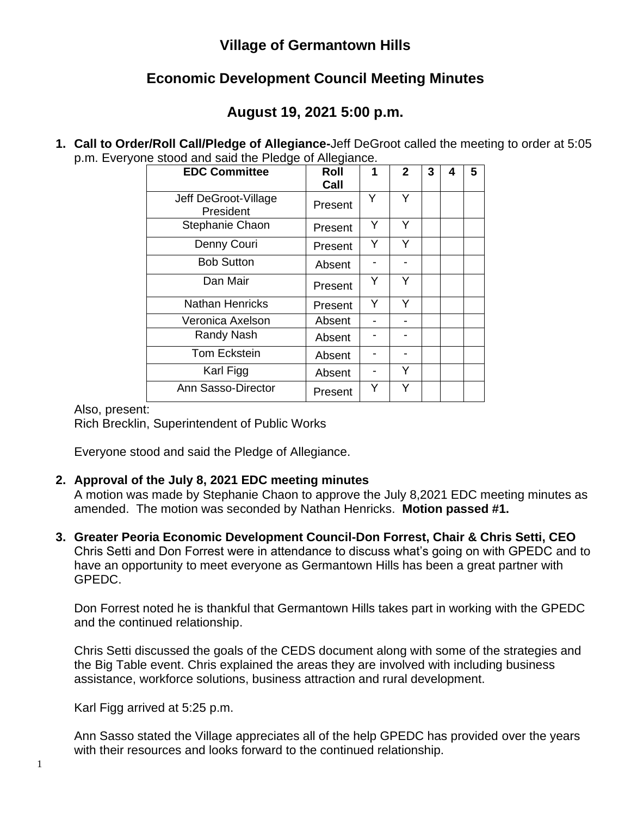### **Village of Germantown Hills**

# **Economic Development Council Meeting Minutes**

# **August 19, 2021 5:00 p.m.**

**1. Call to Order/Roll Call/Pledge of Allegiance-**Jeff DeGroot called the meeting to order at 5:05 p.m. Everyone stood and said the Pledge of Allegiance.

| <b>EDC Committee</b>              | Roll    | 1 | $\overline{2}$ | 3 | 4 | 5 |
|-----------------------------------|---------|---|----------------|---|---|---|
|                                   | Call    |   |                |   |   |   |
| Jeff DeGroot-Village<br>President | Present | Y | Y              |   |   |   |
| Stephanie Chaon                   | Present | Y | Y              |   |   |   |
| Denny Couri                       | Present | Y | Y              |   |   |   |
| <b>Bob Sutton</b>                 | Absent  |   |                |   |   |   |
| Dan Mair                          | Present | Υ | Y              |   |   |   |
| <b>Nathan Henricks</b>            | Present | Y | Y              |   |   |   |
| Veronica Axelson                  | Absent  |   |                |   |   |   |
| Randy Nash                        | Absent  |   |                |   |   |   |
| <b>Tom Eckstein</b>               | Absent  |   |                |   |   |   |
| Karl Figg                         | Absent  |   | Y              |   |   |   |
| <b>Ann Sasso-Director</b>         | Present | Y | Y              |   |   |   |

#### Also, present:

Rich Brecklin, Superintendent of Public Works

Everyone stood and said the Pledge of Allegiance.

#### **2. Approval of the July 8, 2021 EDC meeting minutes**

A motion was made by Stephanie Chaon to approve the July 8,2021 EDC meeting minutes as amended. The motion was seconded by Nathan Henricks. **Motion passed #1.**

**3. Greater Peoria Economic Development Council-Don Forrest, Chair & Chris Setti, CEO** Chris Setti and Don Forrest were in attendance to discuss what's going on with GPEDC and to have an opportunity to meet everyone as Germantown Hills has been a great partner with GPEDC.

Don Forrest noted he is thankful that Germantown Hills takes part in working with the GPEDC and the continued relationship.

Chris Setti discussed the goals of the CEDS document along with some of the strategies and the Big Table event. Chris explained the areas they are involved with including business assistance, workforce solutions, business attraction and rural development.

Karl Figg arrived at 5:25 p.m.

Ann Sasso stated the Village appreciates all of the help GPEDC has provided over the years with their resources and looks forward to the continued relationship.